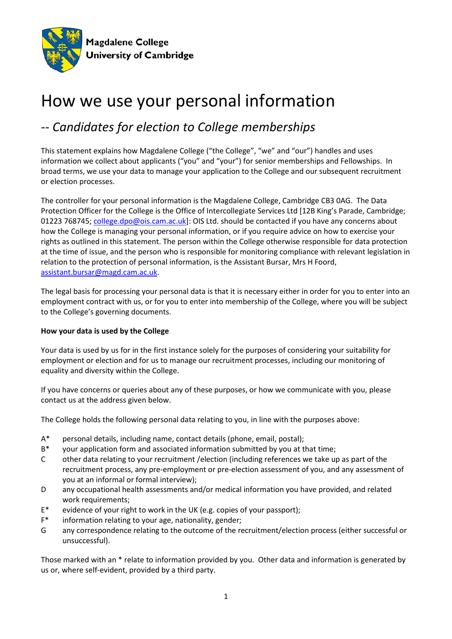

# How we use your personal information

## *-- Candidates for election to College memberships*

This statement explains how Magdalene College ("the College", "we" and "our") handles and uses information we collect about applicants ("you" and "your") for senior memberships and Fellowships. In broad terms, we use your data to manage your application to the College and our subsequent recruitment or election processes.

The controller for your personal information is the Magdalene College, Cambridge CB3 0AG. The Data Protection Officer for the College is the Office of Intercollegiate Services Ltd [12B King's Parade, Cambridge; 01223 768745; [college.dpo@ois.cam.ac.uk\]](mailto:college.dpo@ois.cam.ac.uk): OIS Ltd. should be contacted if you have any concerns about how the College is managing your personal information, or if you require advice on how to exercise your rights as outlined in this statement. The person within the College otherwise responsible for data protection at the time of issue, and the person who is responsible for monitoring compliance with relevant legislation in relation to the protection of personal information, is the Assistant Bursar, Mrs H Foord, [assistant.bursar@magd.cam.ac.uk.](mailto:assistant.bursar@magd.cam.ac.uk)

The legal basis for processing your personal data is that it is necessary either in order for you to enter into an employment contract with us, or for you to enter into membership of the College, where you will be subject to the College's governing documents.

### **How your data is used by the College**

Your data is used by us for in the first instance solely for the purposes of considering your suitability for employment or election and for us to manage our recruitment processes, including our monitoring of equality and diversity within the College.

If you have concerns or queries about any of these purposes, or how we communicate with you, please contact us at the address given below.

The College holds the following personal data relating to you, in line with the purposes above:

- A\* personal details, including name, contact details (phone, email, postal);
- B\* your application form and associated information submitted by you at that time;
- C other data relating to your recruitment /election (including references we take up as part of the recruitment process, any pre-employment or pre-election assessment of you, and any assessment of you at an informal or formal interview);
- D any occupational health assessments and/or medical information you have provided, and related work requirements;
- E\* evidence of your right to work in the UK (e.g. copies of your passport);
- F\* information relating to your age, nationality, gender;
- G any correspondence relating to the outcome of the recruitment/election process (either successful or unsuccessful).

Those marked with an \* relate to information provided by you. Other data and information is generated by us or, where self-evident, provided by a third party.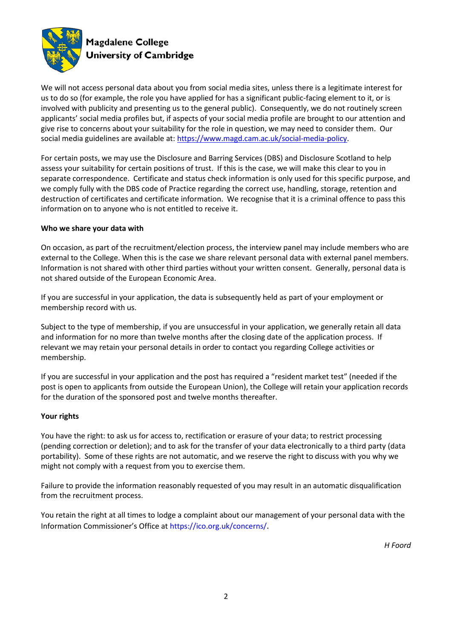

We will not access personal data about you from social media sites, unless there is a legitimate interest for us to do so (for example, the role you have applied for has a significant public-facing element to it, or is involved with publicity and presenting us to the general public). Consequently, we do not routinely screen applicants' social media profiles but, if aspects of your social media profile are brought to our attention and give rise to concerns about your suitability for the role in question, we may need to consider them. Our social media guidelines are available at: [https://www.magd.cam.ac.uk/social-media-policy.](https://www.magd.cam.ac.uk/social-media-policy)

For certain posts, we may use the Disclosure and Barring Services (DBS) and Disclosure Scotland to help assess your suitability for certain positions of trust. If this is the case, we will make this clear to you in separate correspondence. Certificate and status check information is only used for this specific purpose, and we comply fully with the DBS code of Practice regarding the correct use, handling, storage, retention and destruction of certificates and certificate information. We recognise that it is a criminal offence to pass this information on to anyone who is not entitled to receive it.

### **Who we share your data with**

On occasion, as part of the recruitment/election process, the interview panel may include members who are external to the College. When this is the case we share relevant personal data with external panel members. Information is not shared with other third parties without your written consent. Generally, personal data is not shared outside of the European Economic Area.

If you are successful in your application, the data is subsequently held as part of your employment or membership record with us.

Subject to the type of membership, if you are unsuccessful in your application, we generally retain all data and information for no more than twelve months after the closing date of the application process. If relevant we may retain your personal details in order to contact you regarding College activities or membership.

If you are successful in your application and the post has required a "resident market test" (needed if the post is open to applicants from outside the European Union), the College will retain your application records for the duration of the sponsored post and twelve months thereafter.

#### **Your rights**

You have the right: to ask us for access to, rectification or erasure of your data; to restrict processing (pending correction or deletion); and to ask for the transfer of your data electronically to a third party (data portability). Some of these rights are not automatic, and we reserve the right to discuss with you why we might not comply with a request from you to exercise them.

Failure to provide the information reasonably requested of you may result in an automatic disqualification from the recruitment process.

You retain the right at all times to lodge a complaint about our management of your personal data with the Information Commissioner's Office at https://ico.org.uk/concerns/.

*H Foord*